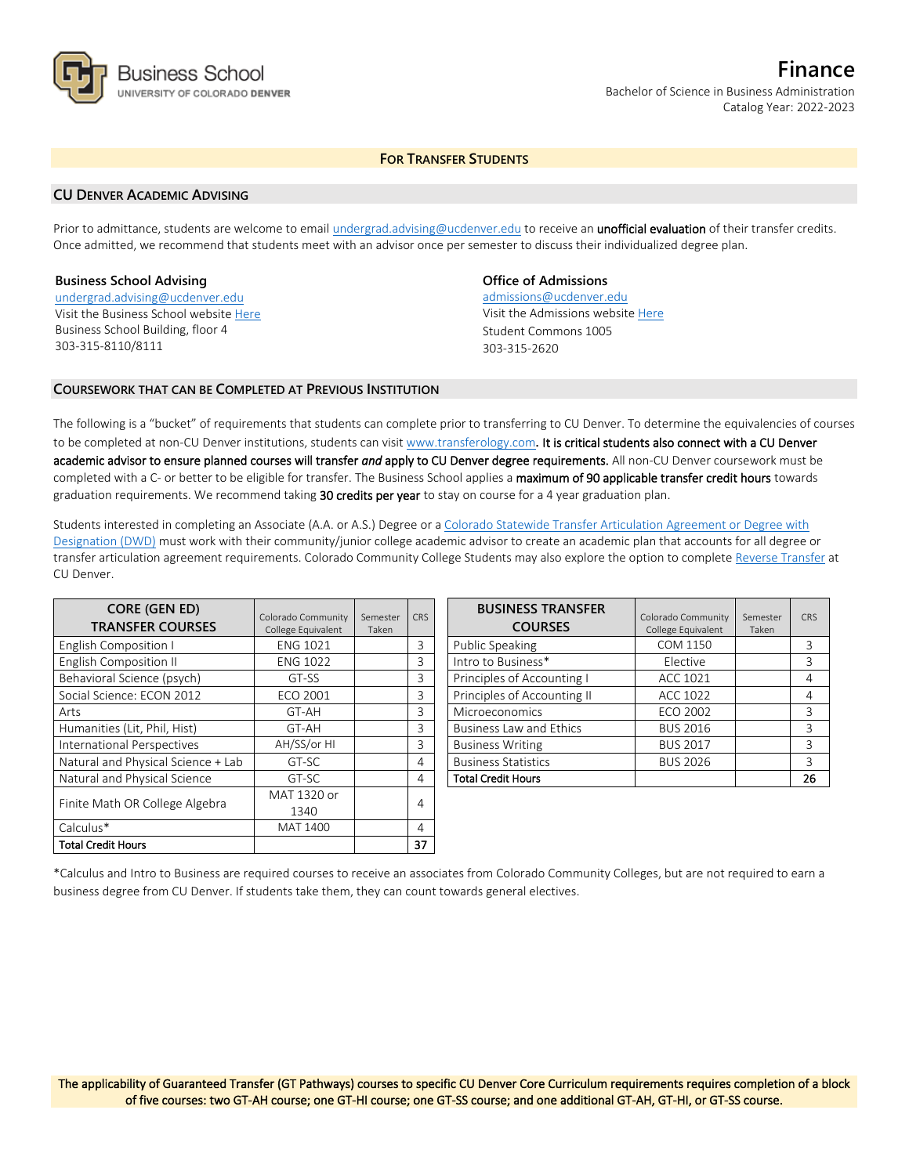

**Finance** Bachelor of Science in Business Administration Catalog Year: 2022-2023

# **FOR TRANSFER STUDENTS**

### **CU DENVER ACADEMIC ADVISING**

Prior to admittance, students are welcome to email [undergrad.advising@ucdenver.edu](mailto:undergrad.advising@ucdenver.edu) to receive an *unofficial evaluation* of their transfer credits. Once admitted, we recommend that students meet with an advisor once per semester to discuss their individualized degree plan.

#### **Business School Advising**

[undergrad.advising@ucdenver.edu](mailto:undergrad.advising@ucdenver.edu) Visit the Business School websit[e Here](http://www.ucdenver.edu/academics/colleges/business/Pages/business-school.aspx)  Business School Building, floor 4 303-315-8110/8111

## **Office of Admissions**

admissions@ucdenver.edu Visit the Admissions website [Here](http://www.ucdenver.edu/admissions/) Student Commons 1005 303-315-2620

## **COURSEWORK THAT CAN BE COMPLETED AT PREVIOUS INSTITUTION**

The following is a "bucket" of requirements that students can complete prior to transferring to CU Denver. To determine the equivalencies of courses to be completed at non-CU Denver institutions, students can visit [www.transferology.com](http://www.transferology.com/)**.** It is critical students also connect with a CU Denver academic advisor to ensure planned courses will transfer *and* apply to CU Denver degree requirements. All non-CU Denver coursework must be completed with a C- or better to be eligible for transfer. The Business School applies a maximum of 90 applicable transfer credit hours towards graduation requirements. We recommend taking 30 credits per year to stay on course for a 4 year graduation plan.

Students interested in completing an Associate (A.A. or A.S.) Degree or a [Colorado Statewide Transfer Articulation Agreement or Degree with](https://highered.colorado.gov/Academics/Transfers/TransferDegrees.html)  [Designation \(DWD\)](https://highered.colorado.gov/Academics/Transfers/TransferDegrees.html) must work with their community/junior college academic advisor to create an academic plan that accounts for all degree or transfer articulation agreement requirements. Colorado Community College Students may also explore the option to complet[e Reverse Transfer](https://degreewithinreach.wordpress.com/) at CU Denver.

| <b>CORE (GEN ED)</b><br><b>TRANSFER COURSES</b> | Colorado Community<br>College Equivalent | Semester<br>Taken | <b>CRS</b> |
|-------------------------------------------------|------------------------------------------|-------------------|------------|
| English Composition I                           | <b>ENG 1021</b>                          |                   | 3          |
| English Composition II                          | <b>ENG 1022</b>                          |                   | 3          |
| Behavioral Science (psych)                      | GT-SS                                    |                   | 3          |
| Social Science: ECON 2012                       | ECO 2001                                 |                   | 3          |
| Arts                                            | GT-AH                                    |                   | 3          |
| Humanities (Lit, Phil, Hist)                    | GT-AH                                    |                   | 3          |
| International Perspectives                      | AH/SS/or HI                              |                   | 3          |
| Natural and Physical Science + Lab              | GT-SC                                    |                   | 4          |
| Natural and Physical Science                    | GT-SC                                    |                   | 4          |
| Finite Math OR College Algebra                  | MAT 1320 or                              |                   | 4          |
|                                                 | 1340                                     |                   |            |
| Calculus*                                       | <b>MAT 1400</b>                          |                   | 4          |
| <b>Total Credit Hours</b>                       |                                          |                   | 37         |

| <b>BUSINESS TRANSFER</b><br><b>COURSES</b> | Colorado Community<br>College Equivalent | Semester<br>Taken | CRS |
|--------------------------------------------|------------------------------------------|-------------------|-----|
| Public Speaking                            | COM 1150                                 |                   | 3   |
| Intro to Business*                         | Elective                                 |                   | 3   |
| Principles of Accounting I                 | ACC 1021                                 |                   | 4   |
| Principles of Accounting II                | ACC 1022                                 |                   | 4   |
| Microeconomics                             | <b>ECO 2002</b>                          |                   | ζ   |
| <b>Business Law and Ethics</b>             | <b>BUS 2016</b>                          |                   | 3   |
| <b>Business Writing</b>                    | <b>BUS 2017</b>                          |                   | 3   |
| <b>Business Statistics</b>                 | <b>BUS 2026</b>                          |                   | 3   |
| <b>Total Credit Hours</b>                  |                                          |                   | 26  |

\*Calculus and Intro to Business are required courses to receive an associates from Colorado Community Colleges, but are not required to earn a business degree from CU Denver. If students take them, they can count towards general electives.